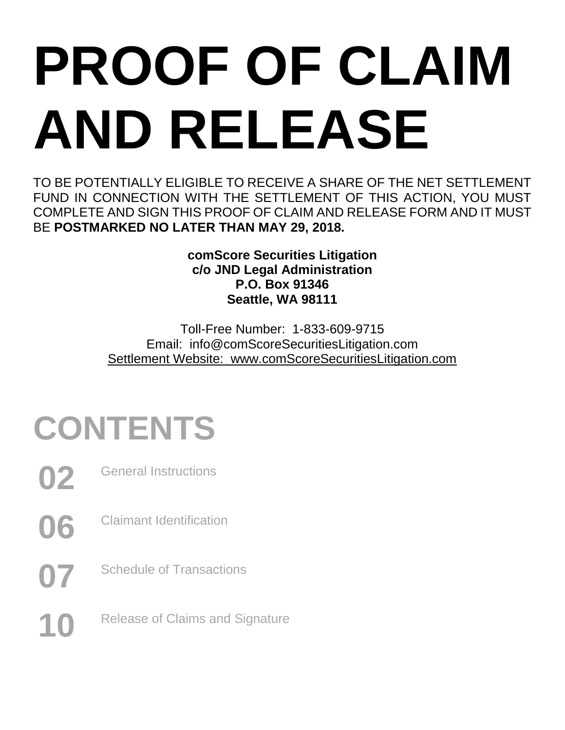# **PROOF OF CLAIM AND RELEASE**

TO BE POTENTIALLY ELIGIBLE TO RECEIVE A SHARE OF THE NET SETTLEMENT FUND IN CONNECTION WITH THE SETTLEMENT OF THIS ACTION, YOU MUST COMPLETE AND SIGN THIS PROOF OF CLAIM AND RELEASE FORM AND IT MUST BE **POSTMARKED NO LATER THAN MAY 29, 2018.**

> **comScore Securities Litigation c/o JND Legal Administration P.O. Box 91346 Seattle, WA 98111**

Toll-Free Number: 1-833-609-9715 Email: info@comScoreSecuritiesLitigation.com Settlement Website: www.comScoreSecuritiesLitigation.com

# **CONTENTS**

- **02** General Instructions
- **06** Claimant Identification
- **07** Schedule of Transactions
- 10 Release of Claims and Signature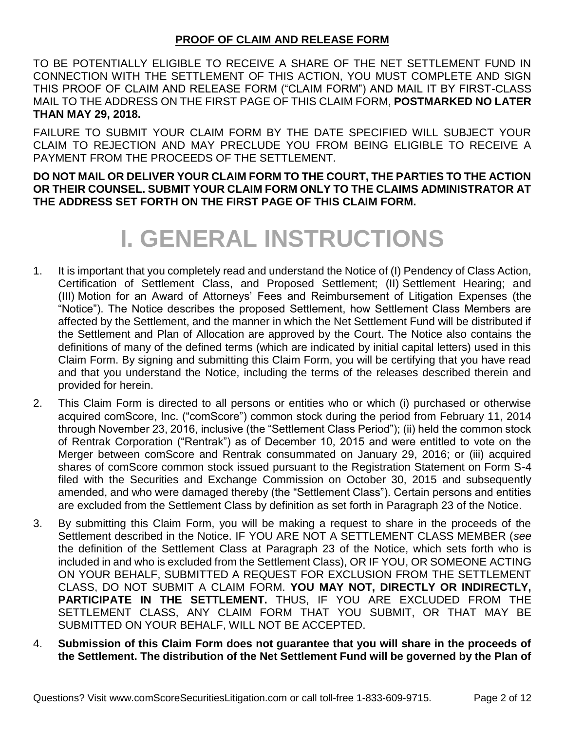#### **PROOF OF CLAIM AND RELEASE FORM**

TO BE POTENTIALLY ELIGIBLE TO RECEIVE A SHARE OF THE NET SETTLEMENT FUND IN CONNECTION WITH THE SETTLEMENT OF THIS ACTION, YOU MUST COMPLETE AND SIGN THIS PROOF OF CLAIM AND RELEASE FORM ("CLAIM FORM") AND MAIL IT BY FIRST-CLASS MAIL TO THE ADDRESS ON THE FIRST PAGE OF THIS CLAIM FORM, **POSTMARKED NO LATER THAN MAY 29, 2018.**

FAILURE TO SUBMIT YOUR CLAIM FORM BY THE DATE SPECIFIED WILL SUBJECT YOUR CLAIM TO REJECTION AND MAY PRECLUDE YOU FROM BEING ELIGIBLE TO RECEIVE A PAYMENT FROM THE PROCEEDS OF THE SETTLEMENT.

**DO NOT MAIL OR DELIVER YOUR CLAIM FORM TO THE COURT, THE PARTIES TO THE ACTION OR THEIR COUNSEL. SUBMIT YOUR CLAIM FORM ONLY TO THE CLAIMS ADMINISTRATOR AT THE ADDRESS SET FORTH ON THE FIRST PAGE OF THIS CLAIM FORM.**

### **I. GENERAL INSTRUCTIONS**

- 1. It is important that you completely read and understand the Notice of (I) Pendency of Class Action, Certification of Settlement Class, and Proposed Settlement; (II) Settlement Hearing; and (III) Motion for an Award of Attorneys' Fees and Reimbursement of Litigation Expenses (the "Notice"). The Notice describes the proposed Settlement, how Settlement Class Members are affected by the Settlement, and the manner in which the Net Settlement Fund will be distributed if the Settlement and Plan of Allocation are approved by the Court. The Notice also contains the definitions of many of the defined terms (which are indicated by initial capital letters) used in this Claim Form. By signing and submitting this Claim Form, you will be certifying that you have read and that you understand the Notice, including the terms of the releases described therein and provided for herein.
- 2. This Claim Form is directed to all persons or entities who or which (i) purchased or otherwise acquired comScore, Inc. ("comScore") common stock during the period from February 11, 2014 through November 23, 2016, inclusive (the "Settlement Class Period"); (ii) held the common stock of Rentrak Corporation ("Rentrak") as of December 10, 2015 and were entitled to vote on the Merger between comScore and Rentrak consummated on January 29, 2016; or (iii) acquired shares of comScore common stock issued pursuant to the Registration Statement on Form S-4 filed with the Securities and Exchange Commission on October 30, 2015 and subsequently amended, and who were damaged thereby (the "Settlement Class"). Certain persons and entities are excluded from the Settlement Class by definition as set forth in Paragraph 23 of the Notice.
- 3. By submitting this Claim Form, you will be making a request to share in the proceeds of the Settlement described in the Notice. IF YOU ARE NOT A SETTLEMENT CLASS MEMBER (*see* the definition of the Settlement Class at Paragraph 23 of the Notice, which sets forth who is included in and who is excluded from the Settlement Class), OR IF YOU, OR SOMEONE ACTING ON YOUR BEHALF, SUBMITTED A REQUEST FOR EXCLUSION FROM THE SETTLEMENT CLASS, DO NOT SUBMIT A CLAIM FORM. **YOU MAY NOT, DIRECTLY OR INDIRECTLY, PARTICIPATE IN THE SETTLEMENT.** THUS, IF YOU ARE EXCLUDED FROM THE SETTLEMENT CLASS, ANY CLAIM FORM THAT YOU SUBMIT, OR THAT MAY BE SUBMITTED ON YOUR BEHALF, WILL NOT BE ACCEPTED.
- 4. **Submission of this Claim Form does not guarantee that you will share in the proceeds of the Settlement. The distribution of the Net Settlement Fund will be governed by the Plan of**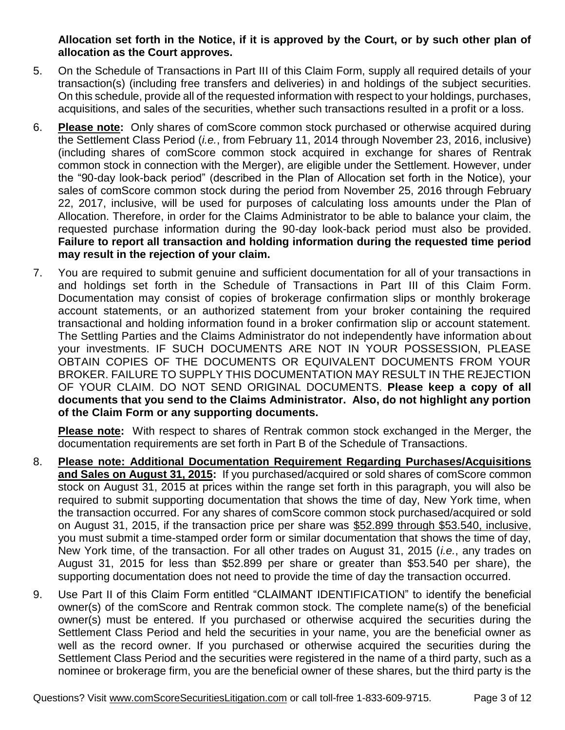#### **Allocation set forth in the Notice, if it is approved by the Court, or by such other plan of allocation as the Court approves.**

- 5. On the Schedule of Transactions in Part III of this Claim Form, supply all required details of your transaction(s) (including free transfers and deliveries) in and holdings of the subject securities. On this schedule, provide all of the requested information with respect to your holdings, purchases, acquisitions, and sales of the securities, whether such transactions resulted in a profit or a loss.
- 6. **Please note:** Only shares of comScore common stock purchased or otherwise acquired during the Settlement Class Period (*i.e.*, from February 11, 2014 through November 23, 2016, inclusive) (including shares of comScore common stock acquired in exchange for shares of Rentrak common stock in connection with the Merger), are eligible under the Settlement. However, under the "90-day look-back period" (described in the Plan of Allocation set forth in the Notice), your sales of comScore common stock during the period from November 25, 2016 through February 22, 2017, inclusive, will be used for purposes of calculating loss amounts under the Plan of Allocation. Therefore, in order for the Claims Administrator to be able to balance your claim, the requested purchase information during the 90-day look-back period must also be provided. **Failure to report all transaction and holding information during the requested time period may result in the rejection of your claim.**
- 7. You are required to submit genuine and sufficient documentation for all of your transactions in and holdings set forth in the Schedule of Transactions in Part III of this Claim Form. Documentation may consist of copies of brokerage confirmation slips or monthly brokerage account statements, or an authorized statement from your broker containing the required transactional and holding information found in a broker confirmation slip or account statement. The Settling Parties and the Claims Administrator do not independently have information about your investments. IF SUCH DOCUMENTS ARE NOT IN YOUR POSSESSION, PLEASE OBTAIN COPIES OF THE DOCUMENTS OR EQUIVALENT DOCUMENTS FROM YOUR BROKER. FAILURE TO SUPPLY THIS DOCUMENTATION MAY RESULT IN THE REJECTION OF YOUR CLAIM. DO NOT SEND ORIGINAL DOCUMENTS. **Please keep a copy of all documents that you send to the Claims Administrator. Also, do not highlight any portion of the Claim Form or any supporting documents.**

**Please note:** With respect to shares of Rentrak common stock exchanged in the Merger, the documentation requirements are set forth in Part B of the Schedule of Transactions.

- 8. **Please note: Additional Documentation Requirement Regarding Purchases/Acquisitions and Sales on August 31, 2015:** If you purchased/acquired or sold shares of comScore common stock on August 31, 2015 at prices within the range set forth in this paragraph, you will also be required to submit supporting documentation that shows the time of day, New York time, when the transaction occurred. For any shares of comScore common stock purchased/acquired or sold on August 31, 2015, if the transaction price per share was \$52.899 through \$53.540, inclusive, you must submit a time-stamped order form or similar documentation that shows the time of day, New York time, of the transaction. For all other trades on August 31, 2015 (*i.e.*, any trades on August 31, 2015 for less than \$52.899 per share or greater than \$53.540 per share), the supporting documentation does not need to provide the time of day the transaction occurred.
- 9. Use Part II of this Claim Form entitled "CLAIMANT IDENTIFICATION" to identify the beneficial owner(s) of the comScore and Rentrak common stock. The complete name(s) of the beneficial owner(s) must be entered. If you purchased or otherwise acquired the securities during the Settlement Class Period and held the securities in your name, you are the beneficial owner as well as the record owner. If you purchased or otherwise acquired the securities during the Settlement Class Period and the securities were registered in the name of a third party, such as a nominee or brokerage firm, you are the beneficial owner of these shares, but the third party is the

Questions? Visit www.comScoreSecuritiesLitigation.com or call toll-free 1-833-609-9715. Page 3 of 12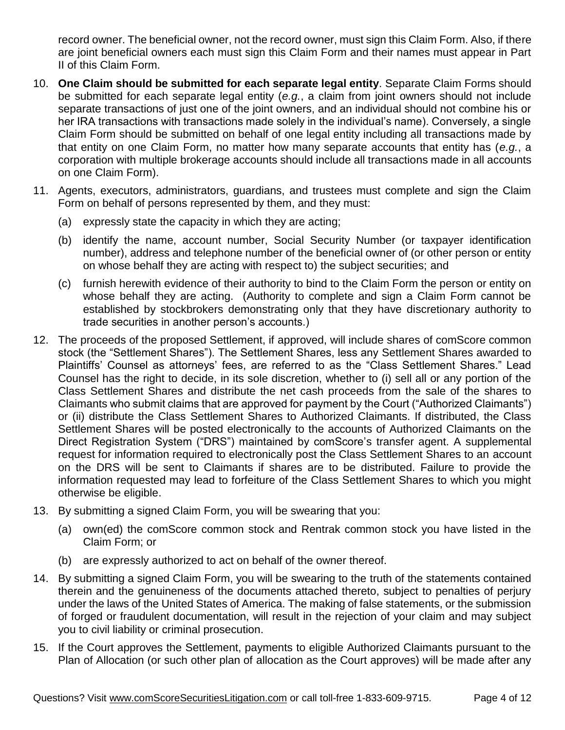record owner. The beneficial owner, not the record owner, must sign this Claim Form. Also, if there are joint beneficial owners each must sign this Claim Form and their names must appear in Part II of this Claim Form.

- 10. **One Claim should be submitted for each separate legal entity**. Separate Claim Forms should be submitted for each separate legal entity (*e.g.*, a claim from joint owners should not include separate transactions of just one of the joint owners, and an individual should not combine his or her IRA transactions with transactions made solely in the individual's name). Conversely, a single Claim Form should be submitted on behalf of one legal entity including all transactions made by that entity on one Claim Form, no matter how many separate accounts that entity has (*e.g.*, a corporation with multiple brokerage accounts should include all transactions made in all accounts on one Claim Form).
- 11. Agents, executors, administrators, guardians, and trustees must complete and sign the Claim Form on behalf of persons represented by them, and they must:
	- (a) expressly state the capacity in which they are acting;
	- (b) identify the name, account number, Social Security Number (or taxpayer identification number), address and telephone number of the beneficial owner of (or other person or entity on whose behalf they are acting with respect to) the subject securities; and
	- (c) furnish herewith evidence of their authority to bind to the Claim Form the person or entity on whose behalf they are acting. (Authority to complete and sign a Claim Form cannot be established by stockbrokers demonstrating only that they have discretionary authority to trade securities in another person's accounts.)
- 12. The proceeds of the proposed Settlement, if approved, will include shares of comScore common stock (the "Settlement Shares"). The Settlement Shares, less any Settlement Shares awarded to Plaintiffs' Counsel as attorneys' fees, are referred to as the "Class Settlement Shares." Lead Counsel has the right to decide, in its sole discretion, whether to (i) sell all or any portion of the Class Settlement Shares and distribute the net cash proceeds from the sale of the shares to Claimants who submit claims that are approved for payment by the Court ("Authorized Claimants") or (ii) distribute the Class Settlement Shares to Authorized Claimants. If distributed, the Class Settlement Shares will be posted electronically to the accounts of Authorized Claimants on the Direct Registration System ("DRS") maintained by comScore's transfer agent. A supplemental request for information required to electronically post the Class Settlement Shares to an account on the DRS will be sent to Claimants if shares are to be distributed. Failure to provide the information requested may lead to forfeiture of the Class Settlement Shares to which you might otherwise be eligible.
- 13. By submitting a signed Claim Form, you will be swearing that you:
	- (a) own(ed) the comScore common stock and Rentrak common stock you have listed in the Claim Form; or
	- (b) are expressly authorized to act on behalf of the owner thereof.
- 14. By submitting a signed Claim Form, you will be swearing to the truth of the statements contained therein and the genuineness of the documents attached thereto, subject to penalties of perjury under the laws of the United States of America. The making of false statements, or the submission of forged or fraudulent documentation, will result in the rejection of your claim and may subject you to civil liability or criminal prosecution.
- 15. If the Court approves the Settlement, payments to eligible Authorized Claimants pursuant to the Plan of Allocation (or such other plan of allocation as the Court approves) will be made after any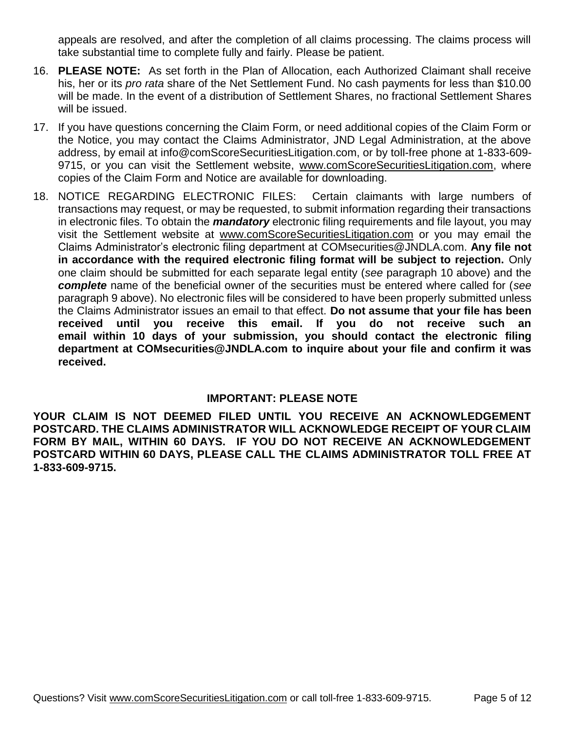appeals are resolved, and after the completion of all claims processing. The claims process will take substantial time to complete fully and fairly. Please be patient.

- 16. **PLEASE NOTE:** As set forth in the Plan of Allocation, each Authorized Claimant shall receive his, her or its *pro rata* share of the Net Settlement Fund. No cash payments for less than \$10.00 will be made. In the event of a distribution of Settlement Shares, no fractional Settlement Shares will be issued.
- 17. If you have questions concerning the Claim Form, or need additional copies of the Claim Form or the Notice, you may contact the Claims Administrator, JND Legal Administration, at the above address, by email at info@comScoreSecuritiesLitigation.com, or by toll-free phone at 1-833-609- 9715, or you can visit the Settlement website, www.comScoreSecuritiesLitigation.com, where copies of the Claim Form and Notice are available for downloading.
- 18. NOTICE REGARDING ELECTRONIC FILES: Certain claimants with large numbers of transactions may request, or may be requested, to submit information regarding their transactions in electronic files. To obtain the *mandatory* electronic filing requirements and file layout, you may visit the Settlement website at www.comScoreSecuritiesLitigation.com or you may email the Claims Administrator's electronic filing department at COMsecurities@JNDLA.com. **Any file not in accordance with the required electronic filing format will be subject to rejection.** Only one claim should be submitted for each separate legal entity (*see* paragraph 10 above) and the *complete* name of the beneficial owner of the securities must be entered where called for (*see* paragraph 9 above). No electronic files will be considered to have been properly submitted unless the Claims Administrator issues an email to that effect. **Do not assume that your file has been received until you receive this email. If you do not receive such an email within 10 days of your submission, you should contact the electronic filing department at COMsecurities@JNDLA.com to inquire about your file and confirm it was received.**

#### **IMPORTANT: PLEASE NOTE**

**YOUR CLAIM IS NOT DEEMED FILED UNTIL YOU RECEIVE AN ACKNOWLEDGEMENT POSTCARD. THE CLAIMS ADMINISTRATOR WILL ACKNOWLEDGE RECEIPT OF YOUR CLAIM FORM BY MAIL, WITHIN 60 DAYS. IF YOU DO NOT RECEIVE AN ACKNOWLEDGEMENT POSTCARD WITHIN 60 DAYS, PLEASE CALL THE CLAIMS ADMINISTRATOR TOLL FREE AT 1-833-609-9715.**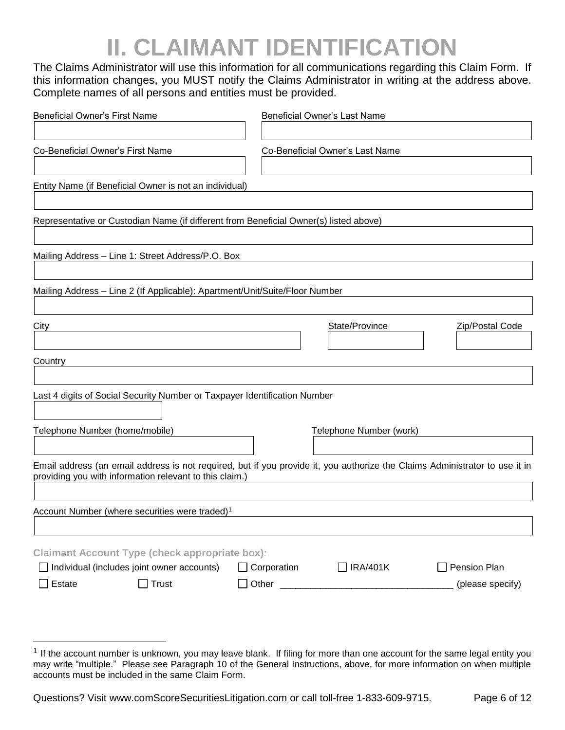# **II. CLAIMANT IDENTIFICATION**

The Claims Administrator will use this information for all communications regarding this Claim Form. If this information changes, you MUST notify the Claims Administrator in writing at the address above. Complete names of all persons and entities must be provided.

| <b>Beneficial Owner's First Name</b>                                                  | <b>Beneficial Owner's Last Name</b>                                                                                         |                  |
|---------------------------------------------------------------------------------------|-----------------------------------------------------------------------------------------------------------------------------|------------------|
|                                                                                       |                                                                                                                             |                  |
| Co-Beneficial Owner's First Name                                                      | Co-Beneficial Owner's Last Name                                                                                             |                  |
|                                                                                       |                                                                                                                             |                  |
| Entity Name (if Beneficial Owner is not an individual)                                |                                                                                                                             |                  |
|                                                                                       |                                                                                                                             |                  |
| Representative or Custodian Name (if different from Beneficial Owner(s) listed above) |                                                                                                                             |                  |
|                                                                                       |                                                                                                                             |                  |
| Mailing Address - Line 1: Street Address/P.O. Box                                     |                                                                                                                             |                  |
|                                                                                       |                                                                                                                             |                  |
| Mailing Address - Line 2 (If Applicable): Apartment/Unit/Suite/Floor Number           |                                                                                                                             |                  |
|                                                                                       |                                                                                                                             |                  |
| City                                                                                  | State/Province                                                                                                              | Zip/Postal Code  |
|                                                                                       |                                                                                                                             |                  |
| Country                                                                               |                                                                                                                             |                  |
|                                                                                       |                                                                                                                             |                  |
| Last 4 digits of Social Security Number or Taxpayer Identification Number             |                                                                                                                             |                  |
|                                                                                       |                                                                                                                             |                  |
| Telephone Number (home/mobile)                                                        | Telephone Number (work)                                                                                                     |                  |
|                                                                                       |                                                                                                                             |                  |
| providing you with information relevant to this claim.)                               | Email address (an email address is not required, but if you provide it, you authorize the Claims Administrator to use it in |                  |
|                                                                                       |                                                                                                                             |                  |
| Account Number (where securities were traded) <sup>1</sup>                            |                                                                                                                             |                  |
|                                                                                       |                                                                                                                             |                  |
| <b>Claimant Account Type (check appropriate box):</b>                                 |                                                                                                                             |                  |
| Individual (includes joint owner accounts)                                            | Corporation<br>]IRA/401K                                                                                                    | Pension Plan     |
| Estate<br>$\Box$ Trust                                                                |                                                                                                                             | (please specify) |
|                                                                                       |                                                                                                                             |                  |

Questions? Visit www.comScoreSecuritiesLitigation.com or call toll-free 1-833-609-9715. Page 6 of 12

 $\overline{a}$ 

<sup>&</sup>lt;sup>1</sup> If the account number is unknown, you may leave blank. If filing for more than one account for the same legal entity you may write "multiple." Please see Paragraph 10 of the General Instructions, above, for more information on when multiple accounts must be included in the same Claim Form.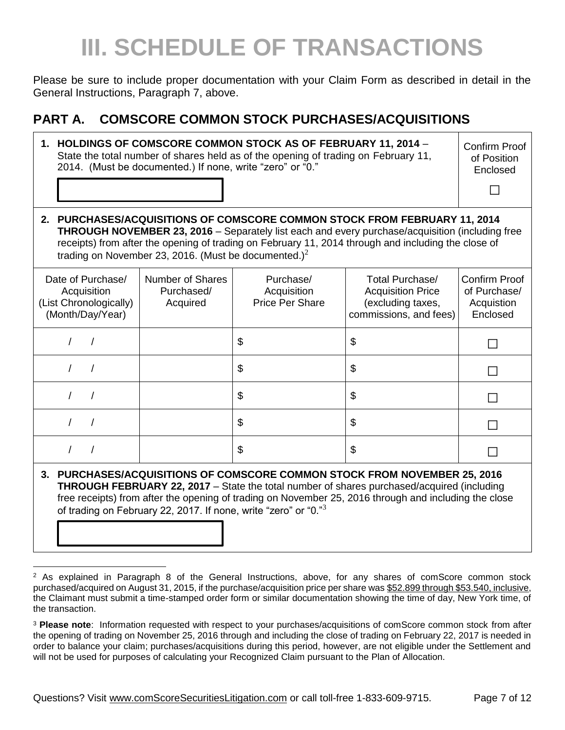# **III. SCHEDULE OF TRANSACTIONS**

Please be sure to include proper documentation with your Claim Form as described in detail in the General Instructions, Paragraph 7, above.

#### **PART A. COMSCORE COMMON STOCK PURCHASES/ACQUISITIONS**

| 1. HOLDINGS OF COMSCORE COMMON STOCK AS OF FEBRUARY 11, 2014 -<br>State the total number of shares held as of the opening of trading on February 11,<br>2014. (Must be documented.) If none, write "zero" or "0."                                                                                                                                      |                                            |                                                    | <b>Confirm Proof</b><br>of Position<br>Enclosed                                            |                                                         |
|--------------------------------------------------------------------------------------------------------------------------------------------------------------------------------------------------------------------------------------------------------------------------------------------------------------------------------------------------------|--------------------------------------------|----------------------------------------------------|--------------------------------------------------------------------------------------------|---------------------------------------------------------|
| 2. PURCHASES/ACQUISITIONS OF COMSCORE COMMON STOCK FROM FEBRUARY 11, 2014<br><b>THROUGH NOVEMBER 23, 2016</b> – Separately list each and every purchase/acquisition (including free<br>receipts) from after the opening of trading on February 11, 2014 through and including the close of<br>trading on November 23, 2016. (Must be documented.) $^2$ |                                            |                                                    |                                                                                            |                                                         |
| Date of Purchase/<br>Acquisition<br>(List Chronologically)<br>(Month/Day/Year)                                                                                                                                                                                                                                                                         | Number of Shares<br>Purchased/<br>Acquired | Purchase/<br>Acquisition<br><b>Price Per Share</b> | Total Purchase/<br><b>Acquisition Price</b><br>(excluding taxes,<br>commissions, and fees) | Confirm Proof<br>of Purchase/<br>Acquistion<br>Enclosed |
|                                                                                                                                                                                                                                                                                                                                                        |                                            | \$                                                 | \$                                                                                         |                                                         |
|                                                                                                                                                                                                                                                                                                                                                        |                                            | \$                                                 | \$                                                                                         |                                                         |
|                                                                                                                                                                                                                                                                                                                                                        |                                            | \$                                                 | \$                                                                                         |                                                         |
|                                                                                                                                                                                                                                                                                                                                                        |                                            | \$                                                 | \$                                                                                         |                                                         |
|                                                                                                                                                                                                                                                                                                                                                        |                                            | \$                                                 | \$                                                                                         |                                                         |
| 3. PURCHASES/ACQUISITIONS OF COMSCORE COMMON STOCK FROM NOVEMBER 25, 2016<br><b>THROUGH FEBRUARY 22, 2017</b> – State the total number of shares purchased/acquired (including                                                                                                                                                                         |                                            |                                                    |                                                                                            |                                                         |

free receipts) from after the opening of trading on November 25, 2016 through and including the close of trading on February 22, 2017. If none, write "zero" or "0. $^{\text{m}}$ 

 $\overline{a}$ <sup>2</sup> As explained in Paragraph 8 of the General Instructions, above, for any shares of comScore common stock purchased/acquired on August 31, 2015, if the purchase/acquisition price per share was \$52.899 through \$53.540, inclusive, the Claimant must submit a time-stamped order form or similar documentation showing the time of day, New York time, of the transaction.

<sup>3</sup> **Please note**: Information requested with respect to your purchases/acquisitions of comScore common stock from after the opening of trading on November 25, 2016 through and including the close of trading on February 22, 2017 is needed in order to balance your claim; purchases/acquisitions during this period, however, are not eligible under the Settlement and will not be used for purposes of calculating your Recognized Claim pursuant to the Plan of Allocation.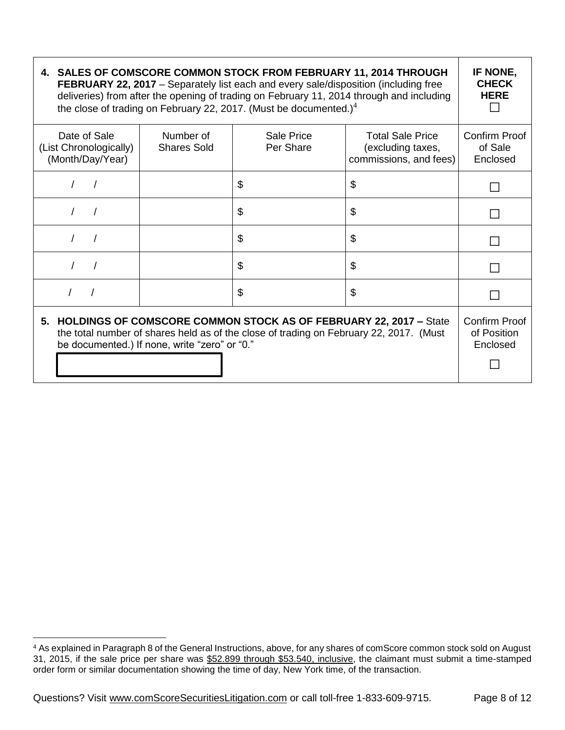| 4. SALES OF COMSCORE COMMON STOCK FROM FEBRUARY 11, 2014 THROUGH                           |  |
|--------------------------------------------------------------------------------------------|--|
| <b>FEBRUARY 22, 2017</b> – Separately list each and every sale/disposition (including free |  |
| deliveries) from after the opening of trading on February 11, 2014 through and including   |  |
| the close of trading on February 22, 2017. (Must be documented.) <sup>4</sup>              |  |
|                                                                                            |  |

| Date of Sale<br>(List Chronologically)<br>(Month/Day/Year)                                                                                                                                                      | Number of<br><b>Shares Sold</b> | Sale Price<br>Per Share | <b>Total Sale Price</b><br>(excluding taxes,<br>commissions, and fees) | Confirm Proof<br>of Sale<br>Enclosed |
|-----------------------------------------------------------------------------------------------------------------------------------------------------------------------------------------------------------------|---------------------------------|-------------------------|------------------------------------------------------------------------|--------------------------------------|
|                                                                                                                                                                                                                 |                                 | \$                      | \$                                                                     |                                      |
|                                                                                                                                                                                                                 |                                 | \$                      | \$                                                                     |                                      |
|                                                                                                                                                                                                                 |                                 | \$                      | \$                                                                     |                                      |
|                                                                                                                                                                                                                 |                                 | \$                      | \$                                                                     |                                      |
|                                                                                                                                                                                                                 |                                 | \$                      | \$                                                                     |                                      |
| 5. HOLDINGS OF COMSCORE COMMON STOCK AS OF FEBRUARY 22, 2017 - State<br>the total number of shares held as of the close of trading on February 22, 2017. (Must<br>be documented.) If none, write "zero" or "0." |                                 |                         |                                                                        |                                      |

**IF NONE, CHECK HERE □**

 $\overline{a}$ <sup>4</sup> As explained in Paragraph 8 of the General Instructions, above, for any shares of comScore common stock sold on August 31, 2015, if the sale price per share was \$52.899 through \$53.540, inclusive, the claimant must submit a time-stamped order form or similar documentation showing the time of day, New York time, of the transaction.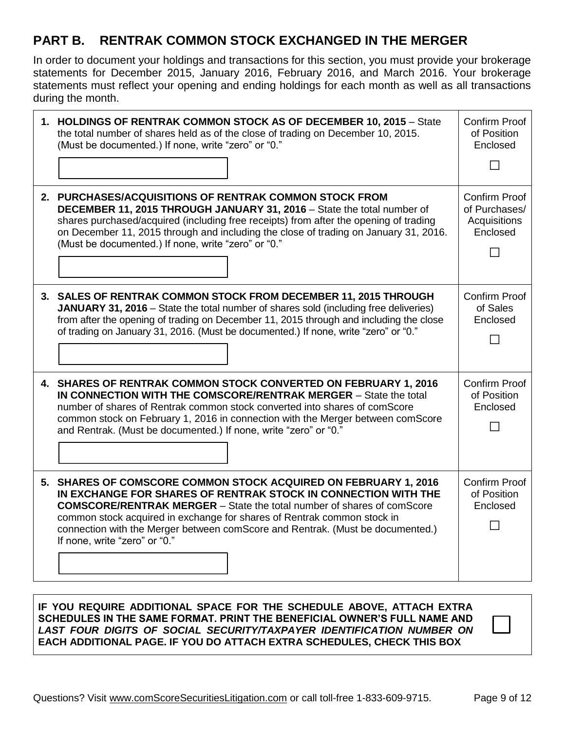#### **PART B. RENTRAK COMMON STOCK EXCHANGED IN THE MERGER**

In order to document your holdings and transactions for this section, you must provide your brokerage statements for December 2015, January 2016, February 2016, and March 2016. Your brokerage statements must reflect your opening and ending holdings for each month as well as all transactions during the month.

| 1. HOLDINGS OF RENTRAK COMMON STOCK AS OF DECEMBER 10, 2015 - State<br>the total number of shares held as of the close of trading on December 10, 2015.<br>(Must be documented.) If none, write "zero" or "0."                                                                                                                                                                                                   | <b>Confirm Proof</b><br>of Position<br>Enclosed                   |
|------------------------------------------------------------------------------------------------------------------------------------------------------------------------------------------------------------------------------------------------------------------------------------------------------------------------------------------------------------------------------------------------------------------|-------------------------------------------------------------------|
| 2. PURCHASES/ACQUISITIONS OF RENTRAK COMMON STOCK FROM<br>DECEMBER 11, 2015 THROUGH JANUARY 31, 2016 - State the total number of<br>shares purchased/acquired (including free receipts) from after the opening of trading<br>on December 11, 2015 through and including the close of trading on January 31, 2016.<br>(Must be documented.) If none, write "zero" or "0."                                         | <b>Confirm Proof</b><br>of Purchases/<br>Acquisitions<br>Enclosed |
| 3. SALES OF RENTRAK COMMON STOCK FROM DECEMBER 11, 2015 THROUGH<br><b>JANUARY 31, 2016</b> – State the total number of shares sold (including free deliveries)<br>from after the opening of trading on December 11, 2015 through and including the close<br>of trading on January 31, 2016. (Must be documented.) If none, write "zero" or "0."                                                                  | <b>Confirm Proof</b><br>of Sales<br>Enclosed                      |
| 4. SHARES OF RENTRAK COMMON STOCK CONVERTED ON FEBRUARY 1, 2016<br>IN CONNECTION WITH THE COMSCORE/RENTRAK MERGER - State the total<br>number of shares of Rentrak common stock converted into shares of comScore<br>common stock on February 1, 2016 in connection with the Merger between comScore<br>and Rentrak. (Must be documented.) If none, write "zero" or "0."                                         | <b>Confirm Proof</b><br>of Position<br>Enclosed                   |
| 5. SHARES OF COMSCORE COMMON STOCK ACQUIRED ON FEBRUARY 1, 2016<br>IN EXCHANGE FOR SHARES OF RENTRAK STOCK IN CONNECTION WITH THE<br><b>COMSCORE/RENTRAK MERGER</b> - State the total number of shares of comScore<br>common stock acquired in exchange for shares of Rentrak common stock in<br>connection with the Merger between comScore and Rentrak. (Must be documented.)<br>If none, write "zero" or "0." | <b>Confirm Proof</b><br>of Position<br>Enclosed                   |

#### **IF YOU REQUIRE ADDITIONAL SPACE FOR THE SCHEDULE ABOVE, ATTACH EXTRA SCHEDULES IN THE SAME FORMAT. PRINT THE BENEFICIAL OWNER'S FULL NAME AND**  *LAST FOUR DIGITS OF SOCIAL SECURITY/TAXPAYER IDENTIFICATION NUMBER ON* **EACH ADDITIONAL PAGE. IF YOU DO ATTACH EXTRA SCHEDULES, CHECK THIS BOX**

| Questions? Visit www.comScoreSecuritiesLitigation.com or call toll-free 1-833-609-9715. |  |
|-----------------------------------------------------------------------------------------|--|
|-----------------------------------------------------------------------------------------|--|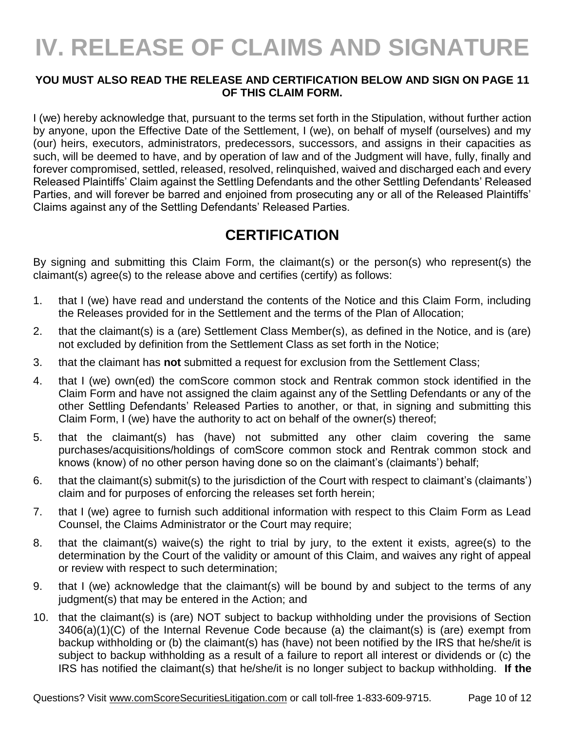# **IV. RELEASE OF CLAIMS AND SIGNATURE**

#### **YOU MUST ALSO READ THE RELEASE AND CERTIFICATION BELOW AND SIGN ON PAGE 11 OF THIS CLAIM FORM.**

I (we) hereby acknowledge that, pursuant to the terms set forth in the Stipulation, without further action by anyone, upon the Effective Date of the Settlement, I (we), on behalf of myself (ourselves) and my (our) heirs, executors, administrators, predecessors, successors, and assigns in their capacities as such, will be deemed to have, and by operation of law and of the Judgment will have, fully, finally and forever compromised, settled, released, resolved, relinquished, waived and discharged each and every Released Plaintiffs' Claim against the Settling Defendants and the other Settling Defendants' Released Parties, and will forever be barred and enjoined from prosecuting any or all of the Released Plaintiffs' Claims against any of the Settling Defendants' Released Parties.

#### **CERTIFICATION**

By signing and submitting this Claim Form, the claimant(s) or the person(s) who represent(s) the claimant(s) agree(s) to the release above and certifies (certify) as follows:

- 1. that I (we) have read and understand the contents of the Notice and this Claim Form, including the Releases provided for in the Settlement and the terms of the Plan of Allocation;
- 2. that the claimant(s) is a (are) Settlement Class Member(s), as defined in the Notice, and is (are) not excluded by definition from the Settlement Class as set forth in the Notice;
- 3. that the claimant has **not** submitted a request for exclusion from the Settlement Class;
- 4. that I (we) own(ed) the comScore common stock and Rentrak common stock identified in the Claim Form and have not assigned the claim against any of the Settling Defendants or any of the other Settling Defendants' Released Parties to another, or that, in signing and submitting this Claim Form, I (we) have the authority to act on behalf of the owner(s) thereof;
- 5. that the claimant(s) has (have) not submitted any other claim covering the same purchases/acquisitions/holdings of comScore common stock and Rentrak common stock and knows (know) of no other person having done so on the claimant's (claimants') behalf;
- 6. that the claimant(s) submit(s) to the jurisdiction of the Court with respect to claimant's (claimants') claim and for purposes of enforcing the releases set forth herein;
- 7. that I (we) agree to furnish such additional information with respect to this Claim Form as Lead Counsel, the Claims Administrator or the Court may require;
- 8. that the claimant(s) waive(s) the right to trial by jury, to the extent it exists, agree(s) to the determination by the Court of the validity or amount of this Claim, and waives any right of appeal or review with respect to such determination;
- 9. that I (we) acknowledge that the claimant(s) will be bound by and subject to the terms of any judgment(s) that may be entered in the Action; and
- 10. that the claimant(s) is (are) NOT subject to backup withholding under the provisions of Section 3406(a)(1)(C) of the Internal Revenue Code because (a) the claimant(s) is (are) exempt from backup withholding or (b) the claimant(s) has (have) not been notified by the IRS that he/she/it is subject to backup withholding as a result of a failure to report all interest or dividends or (c) the IRS has notified the claimant(s) that he/she/it is no longer subject to backup withholding. **If the**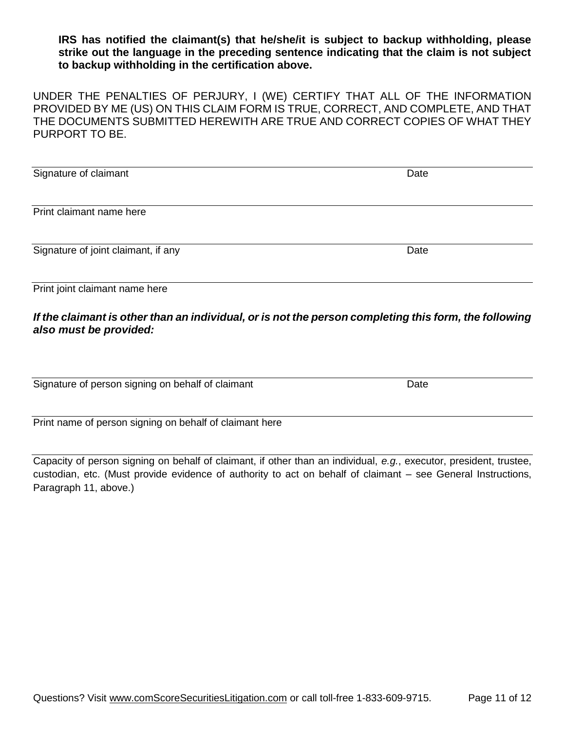**IRS has notified the claimant(s) that he/she/it is subject to backup withholding, please strike out the language in the preceding sentence indicating that the claim is not subject to backup withholding in the certification above.**

UNDER THE PENALTIES OF PERJURY, I (WE) CERTIFY THAT ALL OF THE INFORMATION PROVIDED BY ME (US) ON THIS CLAIM FORM IS TRUE, CORRECT, AND COMPLETE, AND THAT THE DOCUMENTS SUBMITTED HEREWITH ARE TRUE AND CORRECT COPIES OF WHAT THEY PURPORT TO BE.

| Signature of claimant               | Date |
|-------------------------------------|------|
|                                     |      |
| Print claimant name here            |      |
| Signature of joint claimant, if any | Date |
|                                     |      |
| Print joint claimant name here      |      |

#### *If the claimant is other than an individual, or is not the person completing this form, the following also must be provided:*

Signature of person signing on behalf of claimant Date Date

Print name of person signing on behalf of claimant here

Capacity of person signing on behalf of claimant, if other than an individual, *e.g.*, executor, president, trustee, custodian, etc. (Must provide evidence of authority to act on behalf of claimant – see General Instructions, Paragraph 11, above.)